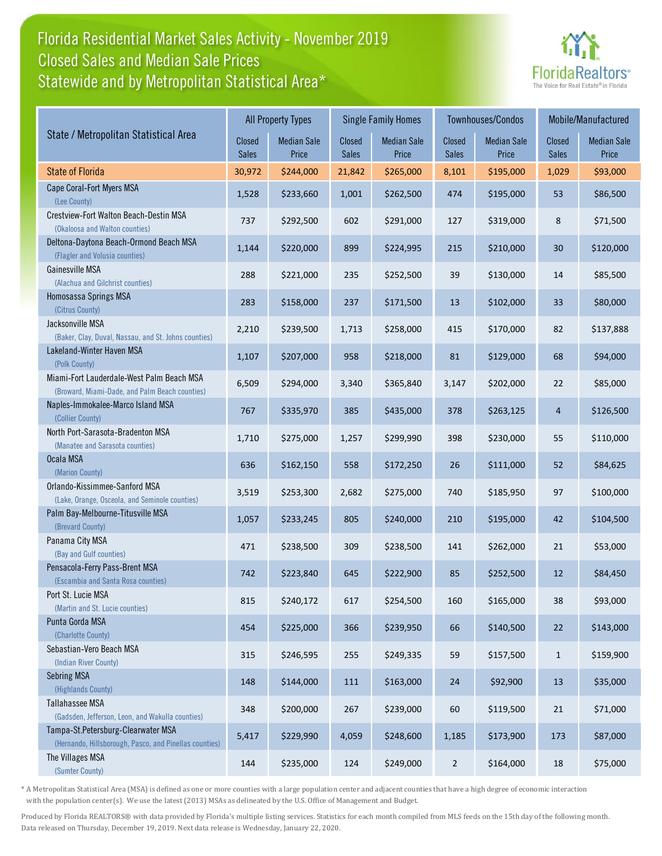## Florida Residential Market Sales Activity - November 2019 Statewide and by Metropolitan Statistical Area\* Closed Sales and Median Sale Prices



|                                                                                              |                 | <b>All Property Types</b>   |                 | <b>Single Family Homes</b>  |                        | Townhouses/Condos           | Mobile/Manufactured |                             |
|----------------------------------------------------------------------------------------------|-----------------|-----------------------------|-----------------|-----------------------------|------------------------|-----------------------------|---------------------|-----------------------------|
| State / Metropolitan Statistical Area                                                        | Closed<br>Sales | <b>Median Sale</b><br>Price | Closed<br>Sales | <b>Median Sale</b><br>Price | <b>Closed</b><br>Sales | <b>Median Sale</b><br>Price | Closed<br>Sales     | <b>Median Sale</b><br>Price |
| <b>State of Florida</b>                                                                      | 30,972          | \$244,000                   | 21,842          | \$265,000                   | 8,101                  | \$195,000                   | 1,029               | \$93,000                    |
| Cape Coral-Fort Myers MSA<br>(Lee County)                                                    | 1,528           | \$233,660                   | 1,001           | \$262,500                   | 474                    | \$195,000                   | 53                  | \$86,500                    |
| Crestview-Fort Walton Beach-Destin MSA<br>(Okaloosa and Walton counties)                     | 737             | \$292,500                   | 602             | \$291,000                   | 127                    | \$319,000                   | 8                   | \$71,500                    |
| Deltona-Daytona Beach-Ormond Beach MSA<br>(Flagler and Volusia counties)                     | 1,144           | \$220,000                   | 899             | \$224,995                   | 215                    | \$210,000                   | 30                  | \$120,000                   |
| Gainesville MSA<br>(Alachua and Gilchrist counties)                                          | 288             | \$221,000                   | 235             | \$252,500                   | 39                     | \$130,000                   | 14                  | \$85,500                    |
| Homosassa Springs MSA<br>(Citrus County)                                                     | 283             | \$158,000                   | 237             | \$171,500                   | 13                     | \$102,000                   | 33                  | \$80,000                    |
| Jacksonville MSA<br>(Baker, Clay, Duval, Nassau, and St. Johns counties)                     | 2,210           | \$239,500                   | 1,713           | \$258,000                   | 415                    | \$170,000                   | 82                  | \$137,888                   |
| Lakeland-Winter Haven MSA<br>(Polk County)                                                   | 1,107           | \$207,000                   | 958             | \$218,000                   | 81                     | \$129,000                   | 68                  | \$94,000                    |
| Miami-Fort Lauderdale-West Palm Beach MSA<br>(Broward, Miami-Dade, and Palm Beach counties)  | 6,509           | \$294,000                   | 3,340           | \$365,840                   | 3,147                  | \$202,000                   | 22                  | \$85,000                    |
| Naples-Immokalee-Marco Island MSA<br>(Collier County)                                        | 767             | \$335,970                   | 385             | \$435,000                   | 378                    | \$263,125                   | 4                   | \$126,500                   |
| North Port-Sarasota-Bradenton MSA<br>(Manatee and Sarasota counties)                         | 1,710           | \$275,000                   | 1,257           | \$299,990                   | 398                    | \$230,000                   | 55                  | \$110,000                   |
| Ocala MSA<br>(Marion County)                                                                 | 636             | \$162,150                   | 558             | \$172,250                   | 26                     | \$111,000                   | 52                  | \$84,625                    |
| Orlando-Kissimmee-Sanford MSA<br>(Lake, Orange, Osceola, and Seminole counties)              | 3,519           | \$253,300                   | 2,682           | \$275,000                   | 740                    | \$185,950                   | 97                  | \$100,000                   |
| Palm Bay-Melbourne-Titusville MSA<br>(Brevard County)                                        | 1,057           | \$233,245                   | 805             | \$240,000                   | 210                    | \$195,000                   | 42                  | \$104,500                   |
| Panama City MSA<br>(Bay and Gulf counties)                                                   | 471             | \$238,500                   | 309             | \$238,500                   | 141                    | \$262,000                   | 21                  | \$53,000                    |
| Pensacola-Ferry Pass-Brent MSA<br>(Escambia and Santa Rosa counties)                         | 742             | \$223,840                   | 645             | \$222,900                   | 85                     | \$252,500                   | 12                  | \$84,450                    |
| Port St. Lucie MSA<br>(Martin and St. Lucie counties)                                        | 815             | \$240,172                   | 617             | \$254,500                   | 160                    | \$165,000                   | 38                  | \$93,000                    |
| Punta Gorda MSA<br>(Charlotte County)                                                        | 454             | \$225,000                   | 366             | \$239,950                   | 66                     | \$140,500                   | 22                  | \$143,000                   |
| Sebastian-Vero Beach MSA<br>(Indian River County)                                            | 315             | \$246,595                   | 255             | \$249,335                   | 59                     | \$157,500                   | $\mathbf{1}$        | \$159,900                   |
| <b>Sebring MSA</b><br>(Highlands County)                                                     | 148             | \$144,000                   | 111             | \$163,000                   | 24                     | \$92,900                    | 13                  | \$35,000                    |
| Tallahassee MSA<br>(Gadsden, Jefferson, Leon, and Wakulla counties)                          | 348             | \$200,000                   | 267             | \$239,000                   | 60                     | \$119,500                   | 21                  | \$71,000                    |
| Tampa-St.Petersburg-Clearwater MSA<br>(Hernando, Hillsborough, Pasco, and Pinellas counties) | 5,417           | \$229,990                   | 4,059           | \$248,600                   | 1,185                  | \$173,900                   | 173                 | \$87,000                    |
| The Villages MSA<br>(Sumter County)                                                          | 144             | \$235,000                   | 124             | \$249,000                   | $\overline{2}$         | \$164,000                   | 18                  | \$75,000                    |

\* A Metropolitan Statistical Area (MSA) is defined as one or more counties with a large population center and adjacent counties that have a high degree of economic interaction with the population center(s). We use the latest (2013) MSAs as delineated by the U.S. Office of Management and Budget.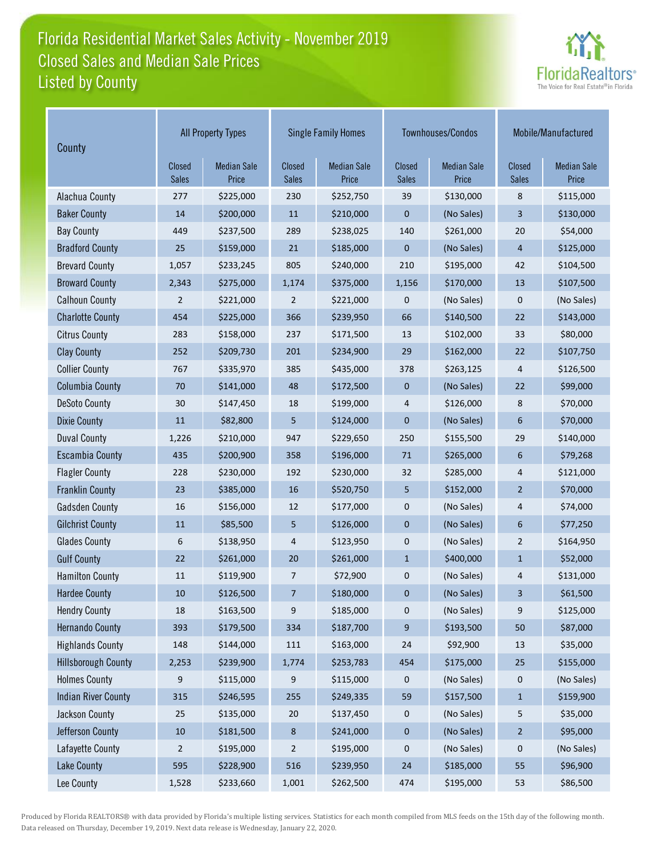# Florida Residential Market Sales Activity - November 2019 Listed by County Closed Sales and Median Sale Prices



| County                     | <b>All Property Types</b> |                             |                               | <b>Single Family Homes</b>  |                        | Townhouses/Condos           | Mobile/Manufactured |                             |
|----------------------------|---------------------------|-----------------------------|-------------------------------|-----------------------------|------------------------|-----------------------------|---------------------|-----------------------------|
|                            | <b>Closed</b><br>Sales    | <b>Median Sale</b><br>Price | <b>Closed</b><br><b>Sales</b> | <b>Median Sale</b><br>Price | Closed<br><b>Sales</b> | <b>Median Sale</b><br>Price | Closed<br>Sales     | <b>Median Sale</b><br>Price |
| Alachua County             | 277                       | \$225,000                   | 230                           | \$252,750                   | 39                     | \$130,000                   | 8                   | \$115,000                   |
| <b>Baker County</b>        | 14                        | \$200,000                   | 11                            | \$210,000                   | 0                      | (No Sales)                  | 3                   | \$130,000                   |
| <b>Bay County</b>          | 449                       | \$237,500                   | 289                           | \$238,025                   | 140                    | \$261,000                   | 20                  | \$54,000                    |
| <b>Bradford County</b>     | 25                        | \$159,000                   | 21                            | \$185,000                   | 0                      | (No Sales)                  | $\overline{4}$      | \$125,000                   |
| <b>Brevard County</b>      | 1,057                     | \$233,245                   | 805                           | \$240,000                   | 210                    | \$195,000                   | 42                  | \$104,500                   |
| <b>Broward County</b>      | 2,343                     | \$275,000                   | 1,174                         | \$375,000                   | 1,156                  | \$170,000                   | 13                  | \$107,500                   |
| <b>Calhoun County</b>      | 2                         | \$221,000                   | $\overline{2}$                | \$221,000                   | 0                      | (No Sales)                  | 0                   | (No Sales)                  |
| <b>Charlotte County</b>    | 454                       | \$225,000                   | 366                           | \$239,950                   | 66                     | \$140,500                   | 22                  | \$143,000                   |
| <b>Citrus County</b>       | 283                       | \$158,000                   | 237                           | \$171,500                   | 13                     | \$102,000                   | 33                  | \$80,000                    |
| <b>Clay County</b>         | 252                       | \$209,730                   | 201                           | \$234,900                   | 29                     | \$162,000                   | 22                  | \$107,750                   |
| <b>Collier County</b>      | 767                       | \$335,970                   | 385                           | \$435,000                   | 378                    | \$263,125                   | 4                   | \$126,500                   |
| <b>Columbia County</b>     | 70                        | \$141,000                   | 48                            | \$172,500                   | $\mathbf 0$            | (No Sales)                  | 22                  | \$99,000                    |
| <b>DeSoto County</b>       | 30                        | \$147,450                   | 18                            | \$199,000                   | 4                      | \$126,000                   | 8                   | \$70,000                    |
| <b>Dixie County</b>        | 11                        | \$82,800                    | 5                             | \$124,000                   | 0                      | (No Sales)                  | 6                   | \$70,000                    |
| <b>Duval County</b>        | 1,226                     | \$210,000                   | 947                           | \$229,650                   | 250                    | \$155,500                   | 29                  | \$140,000                   |
| <b>Escambia County</b>     | 435                       | \$200,900                   | 358                           | \$196,000                   | 71                     | \$265,000                   | 6                   | \$79,268                    |
| <b>Flagler County</b>      | 228                       | \$230,000                   | 192                           | \$230,000                   | 32                     | \$285,000                   | 4                   | \$121,000                   |
| <b>Franklin County</b>     | 23                        | \$385,000                   | 16                            | \$520,750                   | 5                      | \$152,000                   | $\overline{2}$      | \$70,000                    |
| <b>Gadsden County</b>      | 16                        | \$156,000                   | 12                            | \$177,000                   | 0                      | (No Sales)                  | 4                   | \$74,000                    |
| <b>Gilchrist County</b>    | 11                        | \$85,500                    | 5                             | \$126,000                   | 0                      | (No Sales)                  | 6                   | \$77,250                    |
| <b>Glades County</b>       | 6                         | \$138,950                   | 4                             | \$123,950                   | 0                      | (No Sales)                  | $\overline{2}$      | \$164,950                   |
| <b>Gulf County</b>         | 22                        | \$261,000                   | 20                            | \$261,000                   | $\mathbf{1}$           | \$400,000                   | $\mathbf{1}$        | \$52,000                    |
| <b>Hamilton County</b>     | 11                        | \$119,900                   | $\overline{7}$                | \$72,900                    | 0                      | (No Sales)                  | 4                   | \$131,000                   |
| <b>Hardee County</b>       | 10                        | \$126,500                   | 7                             | \$180,000                   | 0                      | (No Sales)                  | 3                   | \$61,500                    |
| <b>Hendry County</b>       | 18                        | \$163,500                   | 9                             | \$185,000                   | 0                      | (No Sales)                  | 9                   | \$125,000                   |
| <b>Hernando County</b>     | 393                       | \$179,500                   | 334                           | \$187,700                   | 9                      | \$193,500                   | $50\,$              | \$87,000                    |
| <b>Highlands County</b>    | 148                       | \$144,000                   | 111                           | \$163,000                   | 24                     | \$92,900                    | 13                  | \$35,000                    |
| <b>Hillsborough County</b> | 2,253                     | \$239,900                   | 1,774                         | \$253,783                   | 454                    | \$175,000                   | 25                  | \$155,000                   |
| <b>Holmes County</b>       | 9                         | \$115,000                   | 9                             | \$115,000                   | 0                      | (No Sales)                  | 0                   | (No Sales)                  |
| <b>Indian River County</b> | 315                       | \$246,595                   | 255                           | \$249,335                   | 59                     | \$157,500                   | $\mathbf 1$         | \$159,900                   |
| Jackson County             | 25                        | \$135,000                   | 20                            | \$137,450                   | 0                      | (No Sales)                  | 5                   | \$35,000                    |
| Jefferson County           | $10\,$                    | \$181,500                   | $8\phantom{1}$                | \$241,000                   | 0                      | (No Sales)                  | $\overline{2}$      | \$95,000                    |
| Lafayette County           | 2                         | \$195,000                   | $\overline{2}$                | \$195,000                   | 0                      | (No Sales)                  | 0                   | (No Sales)                  |
| <b>Lake County</b>         | 595                       | \$228,900                   | 516                           | \$239,950                   | 24                     | \$185,000                   | 55                  | \$96,900                    |
| Lee County                 | 1,528                     | \$233,660                   | 1,001                         | \$262,500                   | 474                    | \$195,000                   | 53                  | \$86,500                    |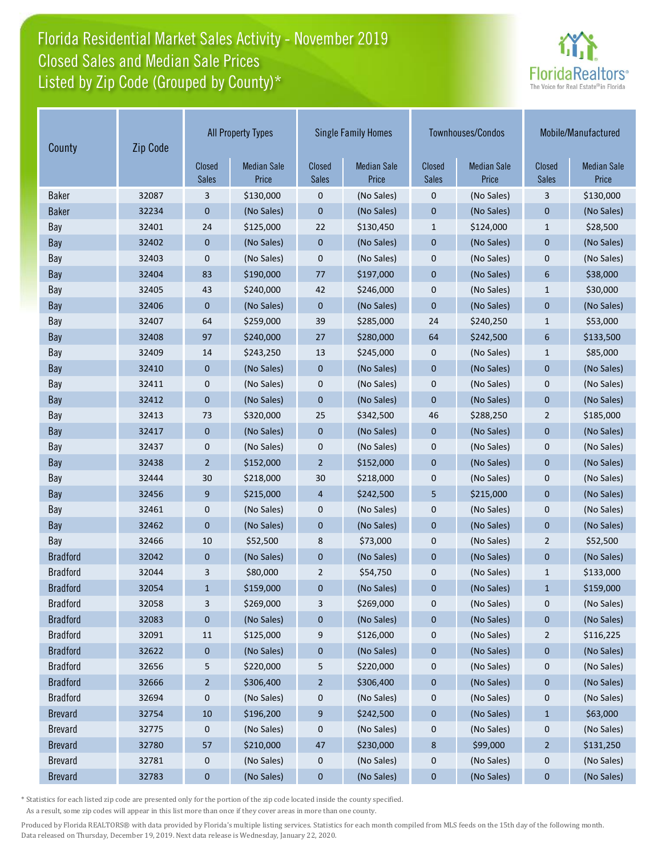## Florida Residential Market Sales Activity - November 2019 Listed by Zip Code (Grouped by County)\* Closed Sales and Median Sale Prices



| Zip Code<br>County |       |                        | <b>All Property Types</b>   | <b>Single Family Homes</b>    |                             |                               | Townhouses/Condos           | Mobile/Manufactured           |                             |
|--------------------|-------|------------------------|-----------------------------|-------------------------------|-----------------------------|-------------------------------|-----------------------------|-------------------------------|-----------------------------|
|                    |       | Closed<br><b>Sales</b> | <b>Median Sale</b><br>Price | <b>Closed</b><br><b>Sales</b> | <b>Median Sale</b><br>Price | <b>Closed</b><br><b>Sales</b> | <b>Median Sale</b><br>Price | <b>Closed</b><br><b>Sales</b> | <b>Median Sale</b><br>Price |
| <b>Baker</b>       | 32087 | 3                      | \$130,000                   | 0                             | (No Sales)                  | 0                             | (No Sales)                  | 3                             | \$130,000                   |
| <b>Baker</b>       | 32234 | 0                      | (No Sales)                  | $\mathbf{0}$                  | (No Sales)                  | $\mathbf 0$                   | (No Sales)                  | $\mathbf 0$                   | (No Sales)                  |
| Bay                | 32401 | 24                     | \$125,000                   | 22                            | \$130,450                   | $\mathbf{1}$                  | \$124,000                   | $\mathbf{1}$                  | \$28,500                    |
| Bay                | 32402 | 0                      | (No Sales)                  | $\mathbf 0$                   | (No Sales)                  | $\mathbf 0$                   | (No Sales)                  | $\mathbf 0$                   | (No Sales)                  |
| Bay                | 32403 | 0                      | (No Sales)                  | 0                             | (No Sales)                  | 0                             | (No Sales)                  | 0                             | (No Sales)                  |
| Bay                | 32404 | 83                     | \$190,000                   | 77                            | \$197,000                   | $\overline{0}$                | (No Sales)                  | 6                             | \$38,000                    |
| Bay                | 32405 | 43                     | \$240,000                   | 42                            | \$246,000                   | $\mathbf 0$                   | (No Sales)                  | $\mathbf{1}$                  | \$30,000                    |
| Bay                | 32406 | $\mathbf 0$            | (No Sales)                  | $\mathbf{0}$                  | (No Sales)                  | $\overline{0}$                | (No Sales)                  | $\mathbf 0$                   | (No Sales)                  |
| Bay                | 32407 | 64                     | \$259,000                   | 39                            | \$285,000                   | 24                            | \$240,250                   | $\mathbf{1}$                  | \$53,000                    |
| Bay                | 32408 | 97                     | \$240,000                   | 27                            | \$280,000                   | 64                            | \$242,500                   | 6                             | \$133,500                   |
| Bay                | 32409 | 14                     | \$243,250                   | 13                            | \$245,000                   | 0                             | (No Sales)                  | $\mathbf{1}$                  | \$85,000                    |
| Bay                | 32410 | $\mathbf 0$            | (No Sales)                  | $\mathbf 0$                   | (No Sales)                  | $\mathbf 0$                   | (No Sales)                  | $\mathbf 0$                   | (No Sales)                  |
| Bay                | 32411 | 0                      | (No Sales)                  | 0                             | (No Sales)                  | 0                             | (No Sales)                  | 0                             | (No Sales)                  |
| Bay                | 32412 | $\mathbf 0$            | (No Sales)                  | $\mathbf{0}$                  | (No Sales)                  | $\mathbf 0$                   | (No Sales)                  | $\mathbf 0$                   | (No Sales)                  |
| Bay                | 32413 | 73                     | \$320,000                   | 25                            | \$342,500                   | 46                            | \$288,250                   | $\overline{2}$                | \$185,000                   |
| Bay                | 32417 | $\mathbf 0$            | (No Sales)                  | $\mathbf 0$                   | (No Sales)                  | $\mathbf 0$                   | (No Sales)                  | $\mathbf 0$                   | (No Sales)                  |
| Bay                | 32437 | 0                      | (No Sales)                  | 0                             | (No Sales)                  | 0                             | (No Sales)                  | 0                             | (No Sales)                  |
| Bay                | 32438 | $\overline{2}$         | \$152,000                   | $\overline{2}$                | \$152,000                   | $\mathbf 0$                   | (No Sales)                  | $\mathbf 0$                   | (No Sales)                  |
| Bay                | 32444 | 30                     | \$218,000                   | 30                            | \$218,000                   | 0                             | (No Sales)                  | $\mathbf 0$                   | (No Sales)                  |
| Bay                | 32456 | 9                      | \$215,000                   | $\overline{4}$                | \$242,500                   | 5                             | \$215,000                   | $\mathbf{0}$                  | (No Sales)                  |
| Bay                | 32461 | 0                      | (No Sales)                  | 0                             | (No Sales)                  | 0                             | (No Sales)                  | $\mathbf 0$                   | (No Sales)                  |
| Bay                | 32462 | $\mathbf 0$            | (No Sales)                  | $\mathbf 0$                   | (No Sales)                  | $\mathbf 0$                   | (No Sales)                  | $\mathbf{0}$                  | (No Sales)                  |
| Bay                | 32466 | 10                     | \$52,500                    | 8                             | \$73,000                    | 0                             | (No Sales)                  | $\overline{2}$                | \$52,500                    |
| <b>Bradford</b>    | 32042 | $\mathbf 0$            | (No Sales)                  | $\mathbf 0$                   | (No Sales)                  | $\mathbf 0$                   | (No Sales)                  | $\mathbf{0}$                  | (No Sales)                  |
| <b>Bradford</b>    | 32044 | 3                      | \$80,000                    | $\overline{2}$                | \$54,750                    | 0                             | (No Sales)                  | $\mathbf{1}$                  | \$133,000                   |
| <b>Bradford</b>    | 32054 | $\mathbf{1}$           | \$159,000                   | 0                             | (No Sales)                  | 0                             | (No Sales)                  | $\mathbf{1}$                  | \$159,000                   |
| <b>Bradford</b>    | 32058 | 3                      | \$269,000                   | 3                             | \$269,000                   | 0                             | (No Sales)                  | 0                             | (No Sales)                  |
| <b>Bradford</b>    | 32083 | $\bf{0}$               | (No Sales)                  | $\bf{0}$                      | (No Sales)                  | $\mathbf 0$                   | (No Sales)                  | $\pmb{0}$                     | (No Sales)                  |
| <b>Bradford</b>    | 32091 | $11\,$                 | \$125,000                   | 9                             | \$126,000                   | 0                             | (No Sales)                  | $\overline{c}$                | \$116,225                   |
| <b>Bradford</b>    | 32622 | $\boldsymbol{0}$       | (No Sales)                  | 0                             | (No Sales)                  | $\pmb{0}$                     | (No Sales)                  | $\pmb{0}$                     | (No Sales)                  |
| <b>Bradford</b>    | 32656 | 5                      | \$220,000                   | 5                             | \$220,000                   | 0                             | (No Sales)                  | 0                             | (No Sales)                  |
| <b>Bradford</b>    | 32666 | $\overline{2}$         | \$306,400                   | $\overline{c}$                | \$306,400                   | $\pmb{0}$                     | (No Sales)                  | 0                             | (No Sales)                  |
| <b>Bradford</b>    | 32694 | 0                      | (No Sales)                  | 0                             | (No Sales)                  | 0                             | (No Sales)                  | 0                             | (No Sales)                  |
| <b>Brevard</b>     | 32754 | 10                     | \$196,200                   | 9                             | \$242,500                   | $\pmb{0}$                     | (No Sales)                  | $\mathbf{1}$                  | \$63,000                    |
| <b>Brevard</b>     | 32775 | 0                      | (No Sales)                  | 0                             | (No Sales)                  | 0                             | (No Sales)                  | 0                             | (No Sales)                  |
| <b>Brevard</b>     | 32780 | 57                     | \$210,000                   | 47                            | \$230,000                   | 8                             | \$99,000                    | $\overline{2}$                | \$131,250                   |
| <b>Brevard</b>     | 32781 | $\mathbf 0$            | (No Sales)                  | 0                             | (No Sales)                  | 0                             | (No Sales)                  | 0                             | (No Sales)                  |
| <b>Brevard</b>     | 32783 | $\bf{0}$               | (No Sales)                  | $\bf{0}$                      | (No Sales)                  | $\mathbf 0$                   | (No Sales)                  | $\bf{0}$                      | (No Sales)                  |

\* Statistics for each listed zip code are presented only for the portion of the zip code located inside the county specified.

As a result, some zip codes will appear in this list more than once if they cover areas in more than one county.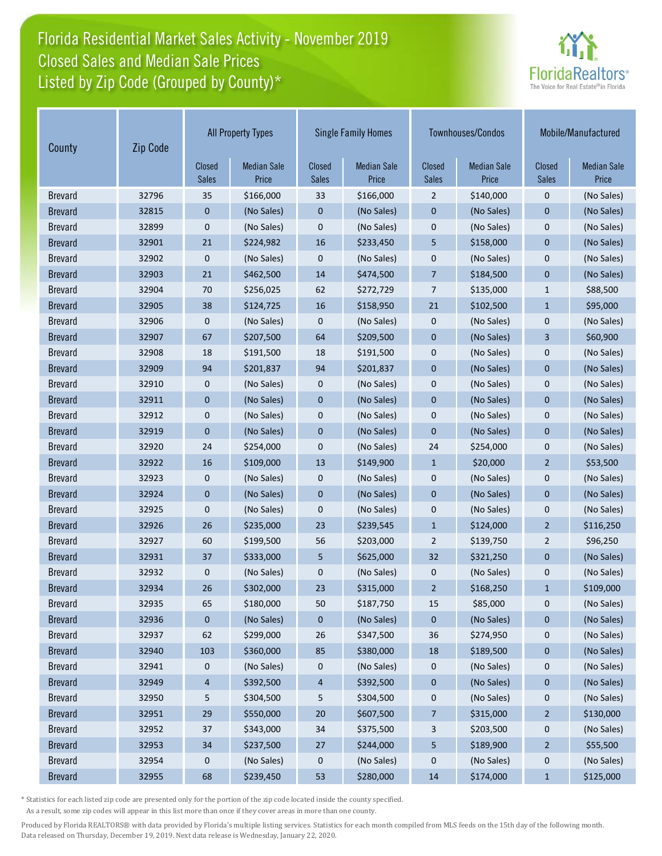## Florida Residential Market Sales Activity - November 2019 Listed by Zip Code (Grouped by County)\* Closed Sales and Median Sale Prices



| County         | Zip Code |                        | <b>All Property Types</b>   |                               | <b>Single Family Homes</b>  |                               | Townhouses/Condos           |                               | Mobile/Manufactured         |
|----------------|----------|------------------------|-----------------------------|-------------------------------|-----------------------------|-------------------------------|-----------------------------|-------------------------------|-----------------------------|
|                |          | Closed<br><b>Sales</b> | <b>Median Sale</b><br>Price | <b>Closed</b><br><b>Sales</b> | <b>Median Sale</b><br>Price | <b>Closed</b><br><b>Sales</b> | <b>Median Sale</b><br>Price | <b>Closed</b><br><b>Sales</b> | <b>Median Sale</b><br>Price |
| <b>Brevard</b> | 32796    | 35                     | \$166,000                   | 33                            | \$166,000                   | $\overline{2}$                | \$140,000                   | $\mathbf 0$                   | (No Sales)                  |
| <b>Brevard</b> | 32815    | 0                      | (No Sales)                  | 0                             | (No Sales)                  | $\mathbf 0$                   | (No Sales)                  | $\mathbf 0$                   | (No Sales)                  |
| <b>Brevard</b> | 32899    | 0                      | (No Sales)                  | 0                             | (No Sales)                  | $\mathbf 0$                   | (No Sales)                  | $\mathbf 0$                   | (No Sales)                  |
| <b>Brevard</b> | 32901    | 21                     | \$224,982                   | 16                            | \$233,450                   | 5                             | \$158,000                   | $\mathbf 0$                   | (No Sales)                  |
| <b>Brevard</b> | 32902    | 0                      | (No Sales)                  | 0                             | (No Sales)                  | $\boldsymbol{0}$              | (No Sales)                  | $\mathbf 0$                   | (No Sales)                  |
| <b>Brevard</b> | 32903    | 21                     | \$462,500                   | 14                            | \$474,500                   | $\overline{7}$                | \$184,500                   | $\overline{0}$                | (No Sales)                  |
| <b>Brevard</b> | 32904    | 70                     | \$256,025                   | 62                            | \$272,729                   | 7                             | \$135,000                   | $\mathbf{1}$                  | \$88,500                    |
| <b>Brevard</b> | 32905    | 38                     | \$124,725                   | 16                            | \$158,950                   | 21                            | \$102,500                   | $\mathbf{1}$                  | \$95,000                    |
| <b>Brevard</b> | 32906    | 0                      | (No Sales)                  | 0                             | (No Sales)                  | $\mathbf 0$                   | (No Sales)                  | 0                             | (No Sales)                  |
| <b>Brevard</b> | 32907    | 67                     | \$207,500                   | 64                            | \$209,500                   | $\mathbf 0$                   | (No Sales)                  | 3                             | \$60,900                    |
| <b>Brevard</b> | 32908    | 18                     | \$191,500                   | 18                            | \$191,500                   | $\mathbf 0$                   | (No Sales)                  | $\mathbf 0$                   | (No Sales)                  |
| <b>Brevard</b> | 32909    | 94                     | \$201,837                   | 94                            | \$201,837                   | $\mathbf 0$                   | (No Sales)                  | $\mathbf 0$                   | (No Sales)                  |
| <b>Brevard</b> | 32910    | 0                      | (No Sales)                  | 0                             | (No Sales)                  | $\boldsymbol{0}$              | (No Sales)                  | $\mathbf 0$                   | (No Sales)                  |
| <b>Brevard</b> | 32911    | 0                      | (No Sales)                  | $\mathbf 0$                   | (No Sales)                  | $\mathbf 0$                   | (No Sales)                  | $\mathbf 0$                   | (No Sales)                  |
| <b>Brevard</b> | 32912    | 0                      | (No Sales)                  | 0                             | (No Sales)                  | $\mathbf 0$                   | (No Sales)                  | $\mathbf 0$                   | (No Sales)                  |
| <b>Brevard</b> | 32919    | 0                      | (No Sales)                  | 0                             | (No Sales)                  | $\mathbf 0$                   | (No Sales)                  | $\mathbf 0$                   | (No Sales)                  |
| <b>Brevard</b> | 32920    | 24                     | \$254,000                   | 0                             | (No Sales)                  | 24                            | \$254,000                   | $\mathbf 0$                   | (No Sales)                  |
| <b>Brevard</b> | 32922    | 16                     | \$109,000                   | 13                            | \$149,900                   | $\mathbf{1}$                  | \$20,000                    | $\overline{2}$                | \$53,500                    |
| <b>Brevard</b> | 32923    | 0                      | (No Sales)                  | 0                             | (No Sales)                  | $\mathbf 0$                   | (No Sales)                  | 0                             | (No Sales)                  |
| <b>Brevard</b> | 32924    | 0                      | (No Sales)                  | 0                             | (No Sales)                  | $\mathbf 0$                   | (No Sales)                  | $\mathbf{0}$                  | (No Sales)                  |
| <b>Brevard</b> | 32925    | 0                      | (No Sales)                  | 0                             | (No Sales)                  | $\mathbf 0$                   | (No Sales)                  | $\mathbf 0$                   | (No Sales)                  |
| <b>Brevard</b> | 32926    | 26                     | \$235,000                   | 23                            | \$239,545                   | $\mathbf{1}$                  | \$124,000                   | $\overline{2}$                | \$116,250                   |
| <b>Brevard</b> | 32927    | 60                     | \$199,500                   | 56                            | \$203,000                   | $\overline{2}$                | \$139,750                   | $\overline{2}$                | \$96,250                    |
| <b>Brevard</b> | 32931    | 37                     | \$333,000                   | 5                             | \$625,000                   | 32                            | \$321,250                   | $\mathbf 0$                   | (No Sales)                  |
| <b>Brevard</b> | 32932    | 0                      | (No Sales)                  | 0                             | (No Sales)                  | $\mathbf 0$                   | (No Sales)                  | 0                             | (No Sales)                  |
| <b>Brevard</b> | 32934    | 26                     | \$302,000                   | 23                            | \$315,000                   | $\overline{2}$                | \$168,250                   | $\mathbf{1}$                  | \$109,000                   |
| <b>Brevard</b> | 32935    | 65                     | \$180,000                   | 50                            | \$187,750                   | 15                            | \$85,000                    | 0                             | (No Sales)                  |
| <b>Brevard</b> | 32936    | 0                      | (No Sales)                  | 0                             | (No Sales)                  | $\pmb{0}$                     | (No Sales)                  | 0                             | (No Sales)                  |
| <b>Brevard</b> | 32937    | 62                     | \$299,000                   | 26                            | \$347,500                   | 36                            | \$274,950                   | 0                             | (No Sales)                  |
| <b>Brevard</b> | 32940    | 103                    | \$360,000                   | 85                            | \$380,000                   | 18                            | \$189,500                   | $\pmb{0}$                     | (No Sales)                  |
| <b>Brevard</b> | 32941    | 0                      | (No Sales)                  | 0                             | (No Sales)                  | 0                             | (No Sales)                  | 0                             | (No Sales)                  |
| <b>Brevard</b> | 32949    | 4                      | \$392,500                   | 4                             | \$392,500                   | $\pmb{0}$                     | (No Sales)                  | 0                             | (No Sales)                  |
| <b>Brevard</b> | 32950    | 5                      | \$304,500                   | 5                             | \$304,500                   | 0                             | (No Sales)                  | 0                             | (No Sales)                  |
| <b>Brevard</b> | 32951    | 29                     | \$550,000                   | $20\,$                        | \$607,500                   | 7                             | \$315,000                   | $\overline{2}$                | \$130,000                   |
| <b>Brevard</b> | 32952    | 37                     | \$343,000                   | 34                            | \$375,500                   | 3                             | \$203,500                   | 0                             | (No Sales)                  |
| <b>Brevard</b> | 32953    | 34                     | \$237,500                   | 27                            | \$244,000                   | 5                             | \$189,900                   | $\overline{a}$                | \$55,500                    |
| <b>Brevard</b> | 32954    | 0                      | (No Sales)                  | 0                             | (No Sales)                  | $\pmb{0}$                     | (No Sales)                  | $\pmb{0}$                     | (No Sales)                  |
| <b>Brevard</b> | 32955    | 68                     | \$239,450                   | 53                            | \$280,000                   | 14                            | \$174,000                   | $\mathbf{1}$                  | \$125,000                   |

\* Statistics for each listed zip code are presented only for the portion of the zip code located inside the county specified.

As a result, some zip codes will appear in this list more than once if they cover areas in more than one county.